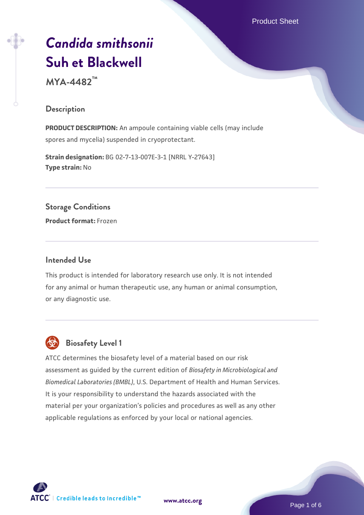Product Sheet

# *[Candida smithsonii](https://www.atcc.org/products/mya-4482)* **[Suh et Blackwell](https://www.atcc.org/products/mya-4482)**

**MYA-4482™**

### **Description**

**PRODUCT DESCRIPTION:** An ampoule containing viable cells (may include spores and mycelia) suspended in cryoprotectant.

**Strain designation:** BG 02-7-13-007E-3-1 [NRRL Y-27643] **Type strain:** No

**Storage Conditions Product format:** Frozen

#### **Intended Use**

This product is intended for laboratory research use only. It is not intended for any animal or human therapeutic use, any human or animal consumption, or any diagnostic use.



# **Biosafety Level 1**

ATCC determines the biosafety level of a material based on our risk assessment as guided by the current edition of *Biosafety in Microbiological and Biomedical Laboratories (BMBL)*, U.S. Department of Health and Human Services. It is your responsibility to understand the hazards associated with the material per your organization's policies and procedures as well as any other applicable regulations as enforced by your local or national agencies.



**[www.atcc.org](http://www.atcc.org)**

Page 1 of 6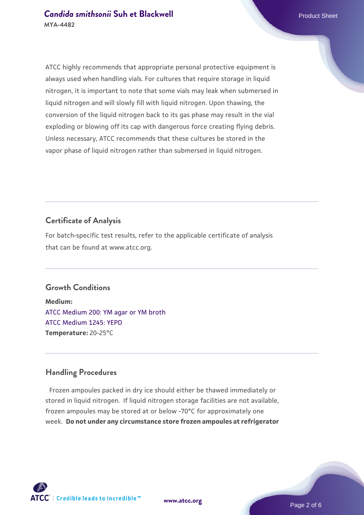ATCC highly recommends that appropriate personal protective equipment is always used when handling vials. For cultures that require storage in liquid nitrogen, it is important to note that some vials may leak when submersed in liquid nitrogen and will slowly fill with liquid nitrogen. Upon thawing, the conversion of the liquid nitrogen back to its gas phase may result in the vial exploding or blowing off its cap with dangerous force creating flying debris. Unless necessary, ATCC recommends that these cultures be stored in the vapor phase of liquid nitrogen rather than submersed in liquid nitrogen.

# **Certificate of Analysis**

For batch-specific test results, refer to the applicable certificate of analysis that can be found at www.atcc.org.

#### **Growth Conditions**

**Medium:**  [ATCC Medium 200: YM agar or YM broth](https://www.atcc.org/-/media/product-assets/documents/microbial-media-formulations/2/0/0/atcc-medium-200.pdf?rev=ac40fd74dc13433a809367b0b9da30fc) [ATCC Medium 1245: YEPD](https://www.atcc.org/-/media/product-assets/documents/microbial-media-formulations/1/2/4/5/atcc-medium-1245.pdf?rev=705ca55d1b6f490a808a965d5c072196) **Temperature:** 20-25°C

#### **Handling Procedures**

Frozen ampoules packed in dry ice should either be thawed immediately or stored in liquid nitrogen. If liquid nitrogen storage facilities are not available, frozen ampoules may be stored at or below -70°C for approximately one week. **Do not under any circumstance store frozen ampoules at refrigerator**

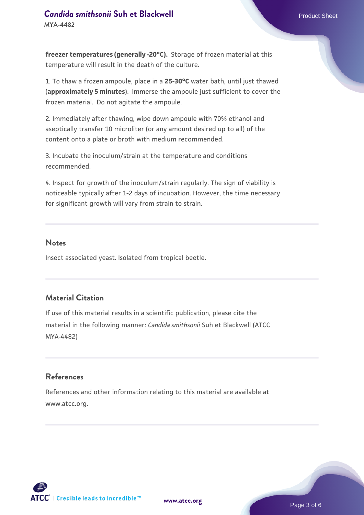**freezer temperatures (generally -20°C).** Storage of frozen material at this temperature will result in the death of the culture.

1. To thaw a frozen ampoule, place in a **25-30°C** water bath, until just thawed (**approximately 5 minutes**). Immerse the ampoule just sufficient to cover the frozen material. Do not agitate the ampoule.

2. Immediately after thawing, wipe down ampoule with 70% ethanol and aseptically transfer 10 microliter (or any amount desired up to all) of the content onto a plate or broth with medium recommended.

3. Incubate the inoculum/strain at the temperature and conditions recommended.

4. Inspect for growth of the inoculum/strain regularly. The sign of viability is noticeable typically after 1-2 days of incubation. However, the time necessary for significant growth will vary from strain to strain.

#### **Notes**

Insect associated yeast. Isolated from tropical beetle.

## **Material Citation**

If use of this material results in a scientific publication, please cite the material in the following manner: *Candida smithsonii* Suh et Blackwell (ATCC MYA-4482)

#### **References**

References and other information relating to this material are available at www.atcc.org.

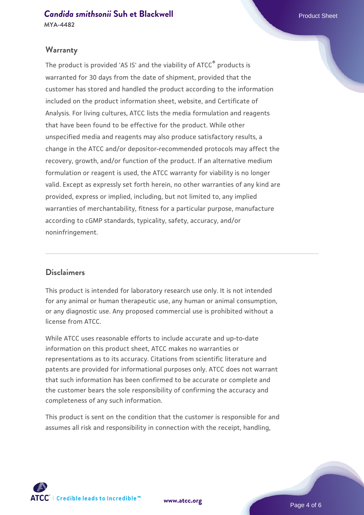#### **Warranty**

The product is provided 'AS IS' and the viability of ATCC® products is warranted for 30 days from the date of shipment, provided that the customer has stored and handled the product according to the information included on the product information sheet, website, and Certificate of Analysis. For living cultures, ATCC lists the media formulation and reagents that have been found to be effective for the product. While other unspecified media and reagents may also produce satisfactory results, a change in the ATCC and/or depositor-recommended protocols may affect the recovery, growth, and/or function of the product. If an alternative medium formulation or reagent is used, the ATCC warranty for viability is no longer valid. Except as expressly set forth herein, no other warranties of any kind are provided, express or implied, including, but not limited to, any implied warranties of merchantability, fitness for a particular purpose, manufacture according to cGMP standards, typicality, safety, accuracy, and/or noninfringement.

#### **Disclaimers**

This product is intended for laboratory research use only. It is not intended for any animal or human therapeutic use, any human or animal consumption, or any diagnostic use. Any proposed commercial use is prohibited without a license from ATCC.

While ATCC uses reasonable efforts to include accurate and up-to-date information on this product sheet, ATCC makes no warranties or representations as to its accuracy. Citations from scientific literature and patents are provided for informational purposes only. ATCC does not warrant that such information has been confirmed to be accurate or complete and the customer bears the sole responsibility of confirming the accuracy and completeness of any such information.

This product is sent on the condition that the customer is responsible for and assumes all risk and responsibility in connection with the receipt, handling,



**[www.atcc.org](http://www.atcc.org)**

Page 4 of 6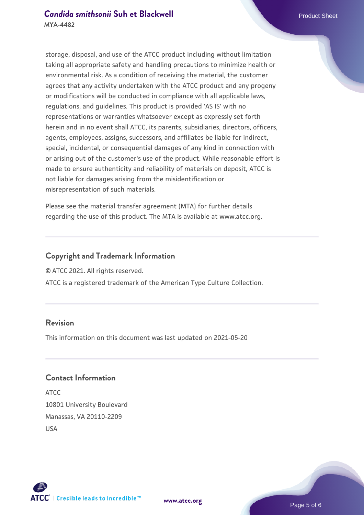storage, disposal, and use of the ATCC product including without limitation taking all appropriate safety and handling precautions to minimize health or environmental risk. As a condition of receiving the material, the customer agrees that any activity undertaken with the ATCC product and any progeny or modifications will be conducted in compliance with all applicable laws, regulations, and guidelines. This product is provided 'AS IS' with no representations or warranties whatsoever except as expressly set forth herein and in no event shall ATCC, its parents, subsidiaries, directors, officers, agents, employees, assigns, successors, and affiliates be liable for indirect, special, incidental, or consequential damages of any kind in connection with or arising out of the customer's use of the product. While reasonable effort is made to ensure authenticity and reliability of materials on deposit, ATCC is not liable for damages arising from the misidentification or misrepresentation of such materials.

Please see the material transfer agreement (MTA) for further details regarding the use of this product. The MTA is available at www.atcc.org.

# **Copyright and Trademark Information**

© ATCC 2021. All rights reserved.

ATCC is a registered trademark of the American Type Culture Collection.

# **Revision**

This information on this document was last updated on 2021-05-20

### **Contact Information**

ATCC 10801 University Boulevard Manassas, VA 20110-2209 USA